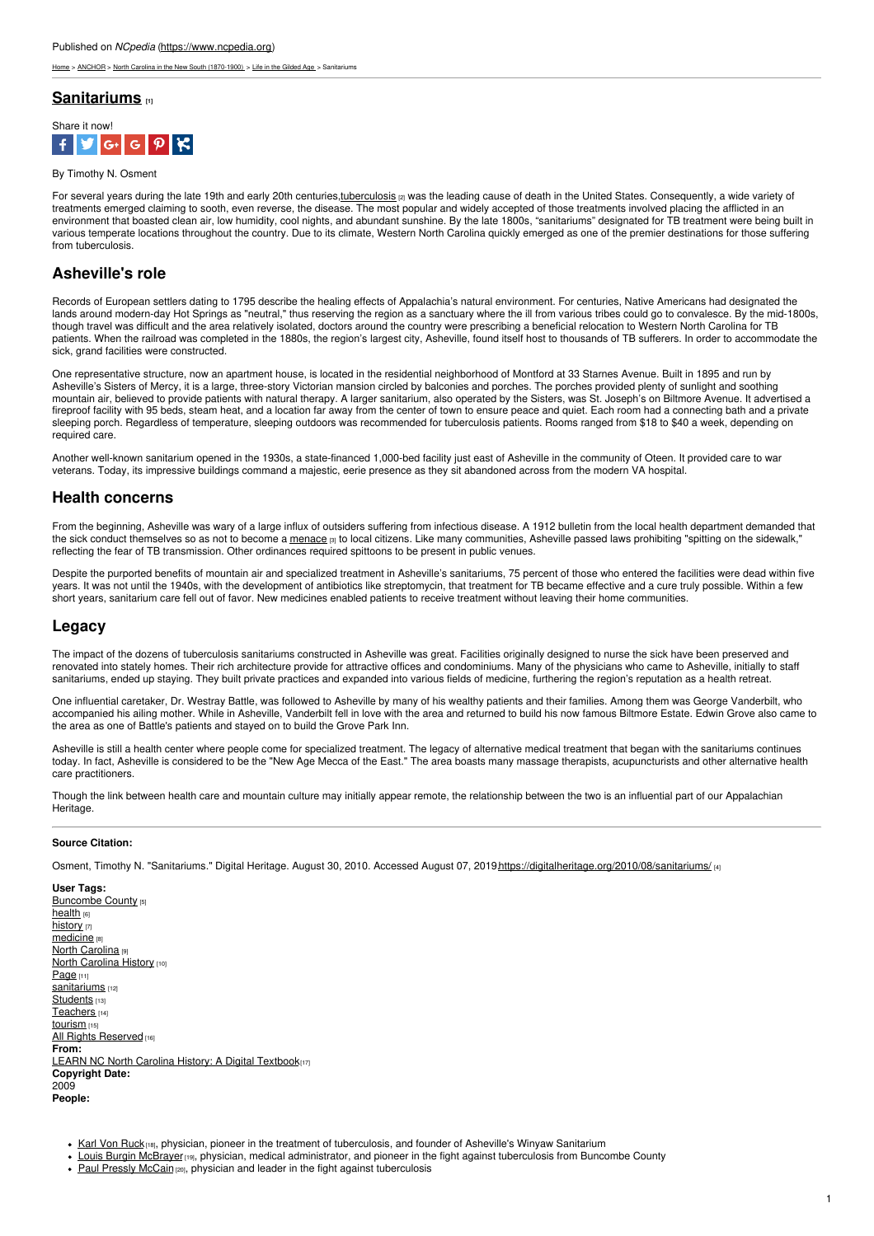[Home](https://www.ncpedia.org/) > [ANCHOR](https://www.ncpedia.org/anchor/anchor) > North Carolina in the New South [\(1870-1900\)](https://www.ncpedia.org/anchor/north-carolina-new-south) > Life in the [Gilded](https://www.ncpedia.org/anchor/life-gilded-age) Age > Sanitariums

### **[Sanitariums](https://www.ncpedia.org/anchor/sanitariums) [1]**



#### By Timothy N. Osment

For several years during the late 19th and early 20th centuries, tuberculosis [2] was the leading cause of death in the United States. Consequently, a wide variety of treatments emerged claiming to sooth, even reverse, the disease. The most popular and widely accepted of those treatments involved placing the afflicted in an environment that boasted clean air, low humidity, cool nights, and abundant sunshine. By the late 1800s, "sanitariums" designated for TB treatment were being built in various temperate locations throughout the country. Due to its climate, Western North Carolina quickly emerged as one of the premier destinations for those suffering from tuberculosis.

# **Asheville's role**

Records of European settlers dating to 1795 [describe](http://www.social9.com) the healing effects of Appalachia's natural environment. For centuries, Native Americans had designated the lands around modern-day Hot Springs as "neutral," thus reserving the region as a sanctuary where the ill from various tribes could go to convalesce. By the mid-1800s, though travel was difficult and the area relatively isolated, doctors around the country were prescribing a beneficial relocation to Western North Carolina for TB patients. When the railroad was completed in the 1880s, the region's largest city, Asheville, found itself host to thousands of TB sufferers. In order to accommodate the sick, grand facilities were constructed.

One representative structure, now an apartment house, is located in the residential neighborhood of Montford at 33 Starnes Avenue. Built in 1895 and run by Asheville's Sisters of Mercy, it is a large, three-story Victorian mansion circled by balconies and porches. The porches provided plenty of sunlight and soothing mountain air, believed to provide patients with natural therapy. A larger sanitarium, also operated by the Sisters, was St. Joseph's on Biltmore Avenue. It advertised a fireproof facility with 95 beds, steam heat, and a location far away from the center of town to ensure peace and quiet. Each room had a connecting bath and a private sleeping porch. Regardless of temperature, sleeping outdoors was recommended for tuberculosis patients. Rooms ranged from \$18 to \$40 a week, depending on required care.

Another well-known sanitarium opened in the 1930s, a state-financed 1,000-bed facility just east of Asheville in the community of Oteen. It provided care to war veterans. Today, its impressive buildings command a majestic, eerie presence as they sit abandoned across from the modern VA hospital.

### **Health concerns**

From the beginning, Asheville was wary of a large influx of outsiders suffering from infectious disease. A 1912 bulletin from the local health department demanded that the sick conduct themselves so as not to become a [menace](https://www.ncpedia.org/glossary/menace) [3] to local citizens. Like many communities, Asheville passed laws prohibiting "spitting on the sidewalk," reflecting the fear of TB transmission. Other ordinances required spittoons to be present in public venues.

Despite the purported benefits of mountain air and specialized treatment in Asheville's sanitariums, 75 percent of those who entered the facilities were dead within five years. It was not until the 1940s, with the development of antibiotics like streptomycin, that treatment for TB became effective and a cure truly possible. Within a few short years, sanitarium care fell out of favor. New medicines enabled patients to receive treatment without leaving their home communities.

### **Legacy**

The impact of the dozens of tuberculosis sanitariums constructed in Asheville was great. Facilities originally designed to nurse the sick have been preserved and renovated into stately homes. Their rich architecture provide for attractive offices and condominiums. Many of the physicians who came to Asheville, initially to staff sanitariums, ended up staying. They built private practices and expanded into various fields of medicine, furthering the region's reputation as a health retreat.

One influential caretaker, Dr. Westray Battle, was followed to Asheville by many of his wealthy patients and their families. Among them was George Vanderbilt, who accompanied his ailing mother. While in Asheville, Vanderbilt fell in love with the area and returned to build his now famous Biltmore Estate. Edwin Grove also came to the area as one of Battle's patients and stayed on to build the Grove Park Inn.

Asheville is still a health center where people come for specialized treatment. The legacy of alternative medical treatment that began with the sanitariums continues today. In fact, Asheville is considered to be the "New Age Mecca of the East." The area boasts many massage therapists, acupuncturists and other alternative health care practitioners.

Though the link between health care and mountain culture may initially appear remote, the relationship between the two is an influential part of our Appalachian Heritage.

#### **Source Citation:**

Osment, Timothy N. "Sanitariums." Digital Heritage. August 30, 2010. Accessed August 07, 2019[.https://digitalheritage.org/2010/08/sanitariums/](https://digitalheritage.org/2010/08/sanitariums/) [4]

**User Tags:** [Buncombe](https://www.ncpedia.org/category/user-tags/buncombe-county) County [5] [health](https://www.ncpedia.org/category/user-tags/health) [6] [history](https://www.ncpedia.org/category/user-tags/history) [7] [medicine](https://www.ncpedia.org/category/user-tags/medicine) [8] **North [Carolina](https://www.ncpedia.org/category/user-tags/north-carolina-5)** [9] North [Carolina](https://www.ncpedia.org/category/user-tags/north-carolina-6) History [10] [Page](https://www.ncpedia.org/category/user-tags/page) [11] [sanitariums](https://www.ncpedia.org/category/user-tags/sanitariums) [12] [Students](https://www.ncpedia.org/category/user-tags/students) [13] [Teachers](https://www.ncpedia.org/category/user-tags/teachers) [14] [tourism](https://www.ncpedia.org/category/user-tags/tourism) [15] All Rights [Reserved](https://www.ncpedia.org/category/user-tags/all-rights) [16] **From:** LEARN NC North Carolina History: A Digital [Textbook](https://www.ncpedia.org/category/entry-source/learn-nc)[17] **Copyright Date:** 2009 **People:**

• Karl Von [Ruck](https://www.ncpedia.org/biography/von-ruck-karl)<sup>[18]</sup>, physician, pioneer in the treatment of tuberculosis, and founder of Asheville's Winyaw Sanitarium

. Louis Burgin [McBrayer](https://www.ncpedia.org/biography/mcbrayer-louis-burgin)<sub>[19]</sub>, physician, medical administrator, and pioneer in the fight against tuberculosis from Buncombe County

• Paul Pressly [McCain](https://www.ncpedia.org/biography/mccain-paul-pressly) [20], physician and leader in the fight against tuberculosis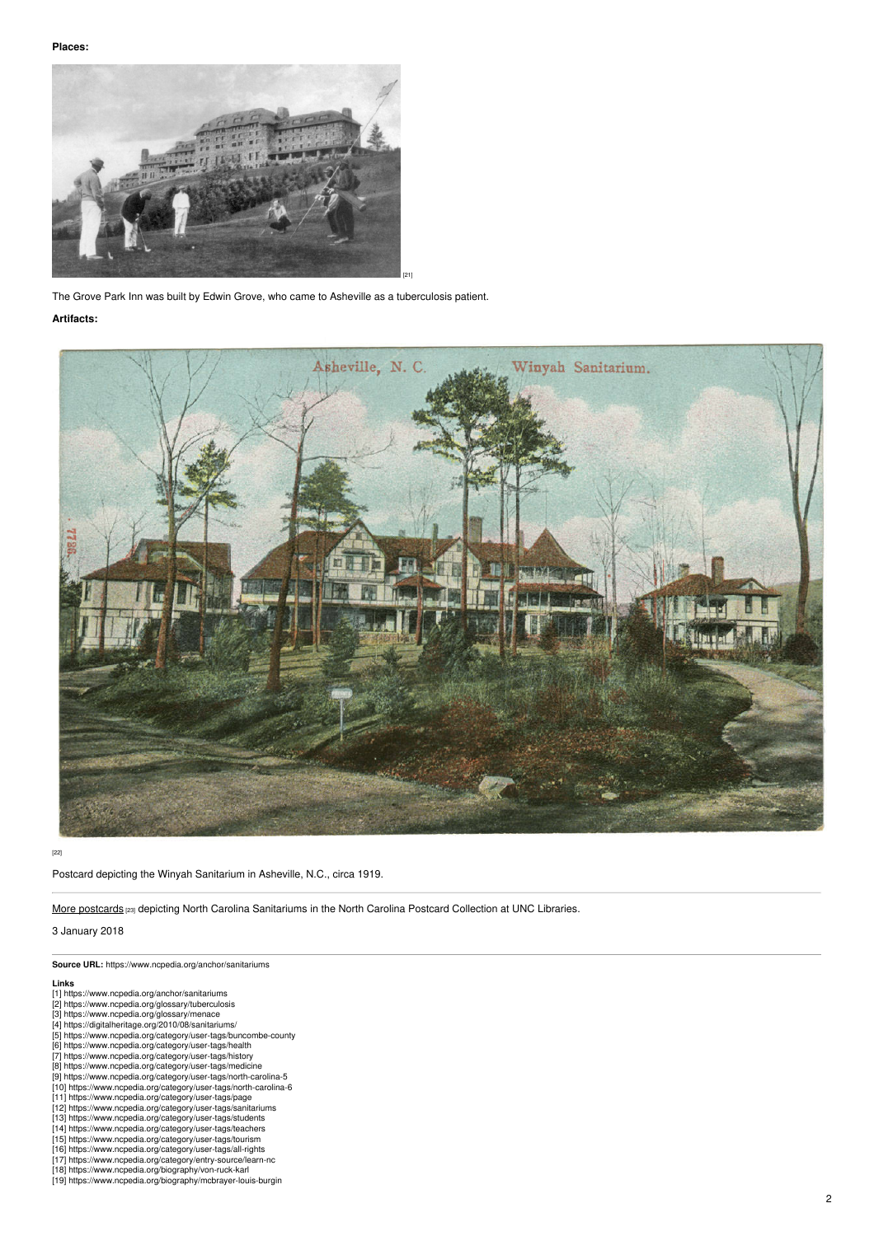

The Grove Park Inn was built by Edwin Grove, who came to Asheville as a tuberculosis patient.

## **Artifacts:**



[22]

Postcard depicting the Winyah Sanitarium in Asheville, N.C., circa 1919.

More [postcards](https://dc.lib.unc.edu/cdm/search/collection/nc_post/searchterm/sanitarium/order/data) [23] depicting North Carolina Sanitariums in the North Carolina Postcard Collection at UNC Libraries.

3 January 2018

#### **Source URL:** https://www.ncpedia.org/anchor/sanitariums

#### **Links**

- [1] https://www.ncpedia.org/anchor/sanitariums [2] https://www.ncpedia.org/glossary/tuberculosis
- 
- 
- [3] https://www.ncpedia.org/glossary/menace [4] https://digitalheritage.org/2010/08/sanitariums/ [5] https://www.ncpedia.org/category/user-tags/buncombe-county
- 
- [6] https://www.ncpedia.org/category/user-tags/health [7] https://www.ncpedia.org/category/user-tags/history
- 
- [8] https://www.ncpedia.org/category/user-tags/medicine [9] https://www.ncpedia.org/category/user-tags/north-carolina-5 [10] https://www.ncpedia.org/category/user-tags/north-carolina-6
- 
- [11] https://www.ncpedia.org/category/user-tags/page [12] https://www.ncpedia.org/category/user-tags/sanitariums
- [13] https://www.ncpedia.org/category/user-tags/students [14] https://www.ncpedia.org/category/user-tags/teachers
- 
- [15] https://www.ncpedia.org/category/user-tags/tourism [16] https://www.ncpedia.org/category/user-tags/all-rights
- 
- [17] https://www.ncpedia.org/category/entry-source/learn-nc [18] https://www.ncpedia.org/biography/von-ruck-karl [19] https://www.ncpedia.org/biography/mcbrayer-louis-burgin
-